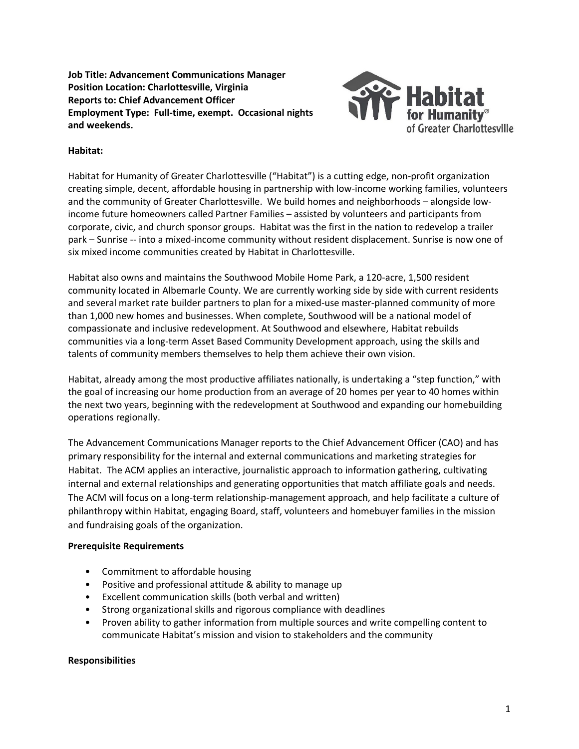**Job Title: Advancement Communications Manager Position Location: Charlottesville, Virginia Reports to: Chief Advancement Officer Employment Type: Full-time, exempt. Occasional nights and weekends.**



### **Habitat:**

Habitat for Humanity of Greater Charlottesville ("Habitat") is a cutting edge, non‐profit organization creating simple, decent, affordable housing in partnership with low-income working families, volunteers and the community of Greater Charlottesville. We build homes and neighborhoods – alongside lowincome future homeowners called Partner Families – assisted by volunteers and participants from corporate, civic, and church sponsor groups. Habitat was the first in the nation to redevelop a trailer park – Sunrise -- into a mixed-income community without resident displacement. Sunrise is now one of six mixed income communities created by Habitat in Charlottesville.

Habitat also owns and maintains the Southwood Mobile Home Park, a 120-acre, 1,500 resident community located in Albemarle County. We are currently working side by side with current residents and several market rate builder partners to plan for a mixed-use master-planned community of more than 1,000 new homes and businesses. When complete, Southwood will be a national model of compassionate and inclusive redevelopment. At Southwood and elsewhere, Habitat rebuilds communities via a long-term Asset Based Community Development approach, using the skills and talents of community members themselves to help them achieve their own vision.

Habitat, already among the most productive affiliates nationally, is undertaking a "step function," with the goal of increasing our home production from an average of 20 homes per year to 40 homes within the next two years, beginning with the redevelopment at Southwood and expanding our homebuilding operations regionally.

The Advancement Communications Manager reports to the Chief Advancement Officer (CAO) and has primary responsibility for the internal and external communications and marketing strategies for Habitat. The ACM applies an interactive, journalistic approach to information gathering, cultivating internal and external relationships and generating opportunities that match affiliate goals and needs. The ACM will focus on a long-term relationship-management approach, and help facilitate a culture of philanthropy within Habitat, engaging Board, staff, volunteers and homebuyer families in the mission and fundraising goals of the organization.

#### **Prerequisite Requirements**

- Commitment to affordable housing
- Positive and professional attitude & ability to manage up
- Excellent communication skills (both verbal and written)
- Strong organizational skills and rigorous compliance with deadlines
- Proven ability to gather information from multiple sources and write compelling content to communicate Habitat's mission and vision to stakeholders and the community

# **Responsibilities**